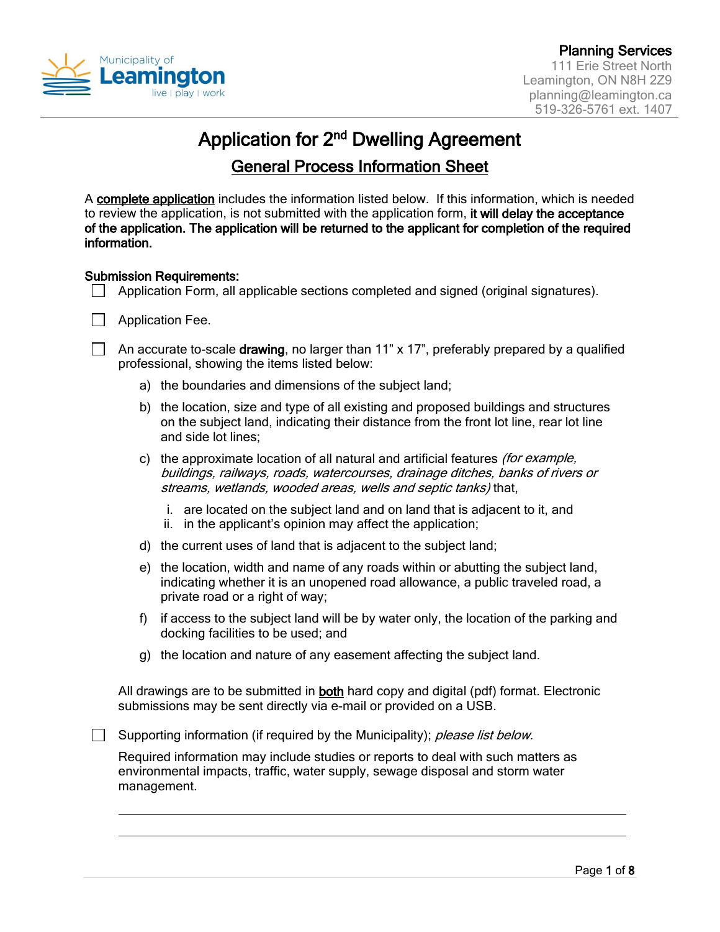

# Application for 2<sup>nd</sup> Dwelling Agreement General Process Information Sheet

A complete application includes the information listed below. If this information, which is needed to review the application, is not submitted with the application form, it will delay the acceptance of the application. The application will be returned to the applicant for completion of the required information.

#### Submission Requirements:

- $\Box$  Application Form, all applicable sections completed and signed (original signatures).
- **Application Fee.**

 $\Box$  An accurate to-scale drawing, no larger than 11" x 17", preferably prepared by a qualified professional, showing the items listed below:

- a) the boundaries and dimensions of the subject land;
- b) the location, size and type of all existing and proposed buildings and structures on the subject land, indicating their distance from the front lot line, rear lot line and side lot lines;
- c) the approximate location of all natural and artificial features (for example, buildings, railways, roads, watercourses, drainage ditches, banks of rivers or streams, wetlands, wooded areas, wells and septic tanks) that,
	- i. are located on the subject land and on land that is adjacent to it, and
	- ii. in the applicant's opinion may affect the application;
- d) the current uses of land that is adjacent to the subject land;
- e) the location, width and name of any roads within or abutting the subject land, indicating whether it is an unopened road allowance, a public traveled road, a private road or a right of way;
- f) if access to the subject land will be by water only, the location of the parking and docking facilities to be used; and
- g) the location and nature of any easement affecting the subject land.

All drawings are to be submitted in both hard copy and digital (pdf) format. Electronic submissions may be sent directly via e-mail or provided on a USB.

Supporting information (if required by the Municipality); *please list below.* 

Required information may include studies or reports to deal with such matters as environmental impacts, traffic, water supply, sewage disposal and storm water management.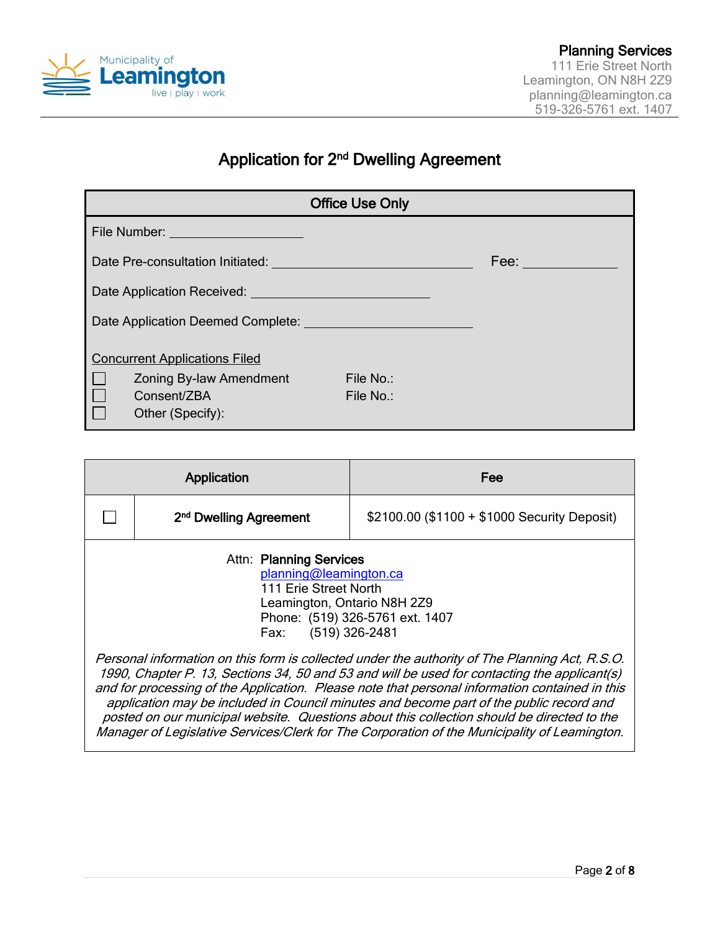

# Application for 2nd Dwelling Agreement

| <b>Office Use Only</b>                                                                                                                                                                                                         |                        |  |  |  |
|--------------------------------------------------------------------------------------------------------------------------------------------------------------------------------------------------------------------------------|------------------------|--|--|--|
| File Number: <u>_____________________</u>                                                                                                                                                                                      |                        |  |  |  |
| Fee: ___________                                                                                                                                                                                                               |                        |  |  |  |
|                                                                                                                                                                                                                                |                        |  |  |  |
| Date Application Deemed Complete: Network and Complete and Complete and Complete and Complete and Complete and Complete and Complete and Complete and Complete and Complete and Complete and Complete and Complete and Complet |                        |  |  |  |
| <b>Concurrent Applications Filed</b>                                                                                                                                                                                           |                        |  |  |  |
| Zoning By-law Amendment<br>Consent/ZBA<br>Other (Specify):                                                                                                                                                                     | File No.:<br>File No.: |  |  |  |

| Application                                                                                                                                                                                                                                                                                      |  | Fee                                          |
|--------------------------------------------------------------------------------------------------------------------------------------------------------------------------------------------------------------------------------------------------------------------------------------------------|--|----------------------------------------------|
| 2 <sup>nd</sup> Dwelling Agreement                                                                                                                                                                                                                                                               |  | \$2100.00 (\$1100 + \$1000 Security Deposit) |
| <b>Attn: Planning Services</b><br>planning@leamington.ca<br>111 Erie Street North<br>Leamington, Ontario N8H 2Z9<br>Phone: (519) 326-5761 ext. 1407<br>(519) 326-2481<br>Fax:                                                                                                                    |  |                                              |
| Personal information on this form is collected under the authority of The Planning Act, R.S.O.<br>1990, Chapter P. 13, Sections 34, 50 and 53 and will be used for contacting the applicant(s)<br>and for processing of the Application. Please note that personal information contained in this |  |                                              |

application may be included in Council minutes and become part of the public record and posted on our municipal website. Questions about this collection should be directed to the Manager of Legislative Services/Clerk for The Corporation of the Municipality of Leamington.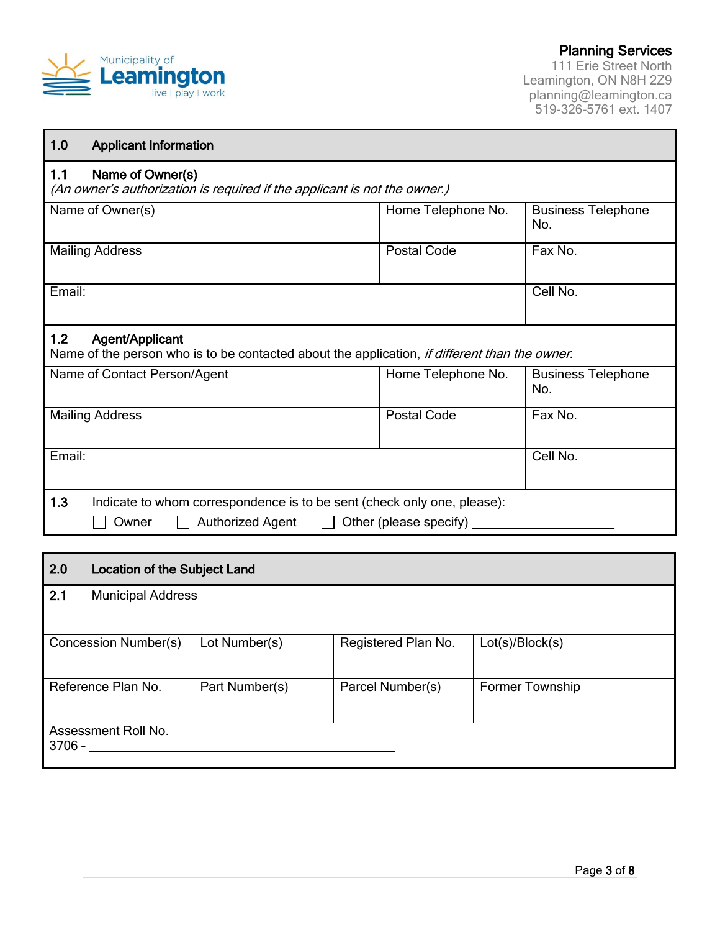

111 Erie Street North Leamington, ON N8H 2Z9 planning@leamington.ca 519-326-5761 ext. 1407

| 1.0<br><b>Applicant Information</b>                                                                                                          |                    |                                  |  |
|----------------------------------------------------------------------------------------------------------------------------------------------|--------------------|----------------------------------|--|
| 1.1<br>Name of Owner(s)<br>(An owner's authorization is required if the applicant is not the owner.)                                         |                    |                                  |  |
| Name of Owner(s)                                                                                                                             | Home Telephone No. | <b>Business Telephone</b><br>No. |  |
| <b>Mailing Address</b>                                                                                                                       | <b>Postal Code</b> | Fax No.                          |  |
| Email:<br>Cell No.                                                                                                                           |                    |                                  |  |
| 1.2<br>Agent/Applicant<br>Name of the person who is to be contacted about the application, if different than the owner.                      |                    |                                  |  |
| Name of Contact Person/Agent                                                                                                                 | Home Telephone No. | <b>Business Telephone</b><br>No. |  |
| Fax No.<br><b>Postal Code</b><br><b>Mailing Address</b>                                                                                      |                    |                                  |  |
| Cell No.<br>Email:                                                                                                                           |                    |                                  |  |
| 1.3<br>Indicate to whom correspondence is to be sent (check only one, please):<br><b>Authorized Agent</b><br>Other (please specify)<br>Owner |                    |                                  |  |

| 2.0                             | <b>Location of the Subject Land</b> |                     |                 |  |
|---------------------------------|-------------------------------------|---------------------|-----------------|--|
| 2.1<br><b>Municipal Address</b> |                                     |                     |                 |  |
| Concession Number(s)            | Lot Number(s)                       | Registered Plan No. | Lot(s)/Block(s) |  |
| Reference Plan No.              | Part Number(s)                      | Parcel Number(s)    | Former Township |  |
| Assessment Roll No.<br>3706 -   |                                     |                     |                 |  |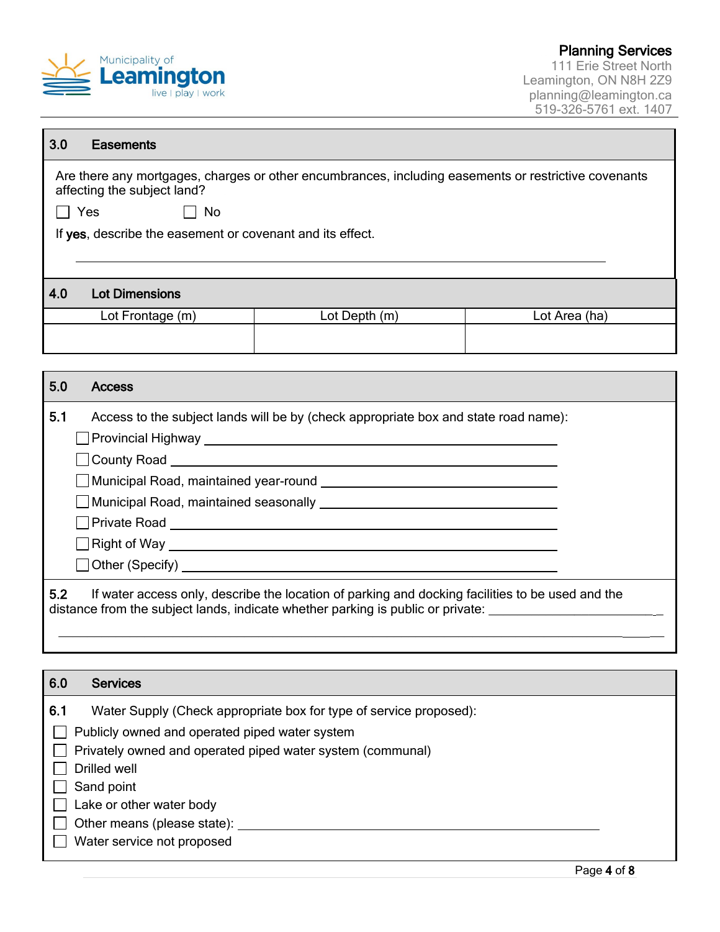

## 3.0 Easements

Are there any mortgages, charges or other encumbrances, including easements or restrictive covenants affecting the subject land?

 $\Box$  Yes  $\Box$  No

If yes, describe the easement or covenant and its effect.

# 4.0 Lot Dimensions

| Lot Frontage (m) | Lot Depth (m) | Lot Area (ha) |
|------------------|---------------|---------------|
|                  |               |               |
|                  |               |               |

| 5.0 | <b>Access</b>                                                                                                                                                                       |
|-----|-------------------------------------------------------------------------------------------------------------------------------------------------------------------------------------|
| 5.1 | Access to the subject lands will be by (check appropriate box and state road name):                                                                                                 |
|     |                                                                                                                                                                                     |
|     |                                                                                                                                                                                     |
|     |                                                                                                                                                                                     |
|     |                                                                                                                                                                                     |
|     |                                                                                                                                                                                     |
|     | Right of Way <b>contract the Community of Way</b>                                                                                                                                   |
|     |                                                                                                                                                                                     |
| 5.2 | If water access only, describe the location of parking and docking facilities to be used and the<br>distance from the subject lands, indicate whether parking is public or private: |

| 6.0 | <b>Services</b>                                                    |
|-----|--------------------------------------------------------------------|
| 6.1 | Water Supply (Check appropriate box for type of service proposed): |
|     | Publicly owned and operated piped water system                     |
|     | Privately owned and operated piped water system (communal)         |
|     | Drilled well                                                       |
|     | Sand point                                                         |
|     | Lake or other water body                                           |
|     | Other means (please state):                                        |
|     | Water service not proposed                                         |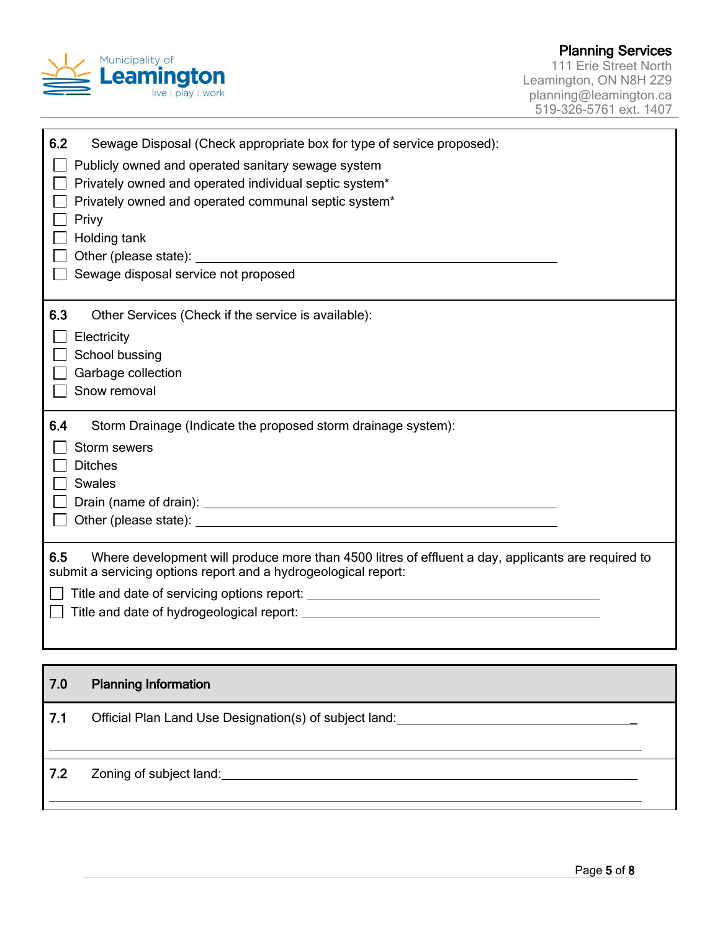

| 6.2 | Sewage Disposal (Check appropriate box for type of service proposed):<br>Publicly owned and operated sanitary sewage system<br>Privately owned and operated individual septic system*<br>Privately owned and operated communal septic system*<br>Privy<br>Holding tank<br>Sewage disposal service not proposed |
|-----|----------------------------------------------------------------------------------------------------------------------------------------------------------------------------------------------------------------------------------------------------------------------------------------------------------------|
| 6.3 | Other Services (Check if the service is available):<br>Electricity<br>School bussing<br>Garbage collection<br>Snow removal                                                                                                                                                                                     |
| 6.4 | Storm Drainage (Indicate the proposed storm drainage system):<br>Storm sewers<br><b>Ditches</b><br><b>Swales</b>                                                                                                                                                                                               |
| 6.5 | Where development will produce more than 4500 litres of effluent a day, applicants are required to<br>submit a servicing options report and a hydrogeological report:                                                                                                                                          |

| 7.0 | <b>Planning Information</b>                            |
|-----|--------------------------------------------------------|
| 7.1 | Official Plan Land Use Designation(s) of subject land: |
| 7.2 | Zoning of subject land:                                |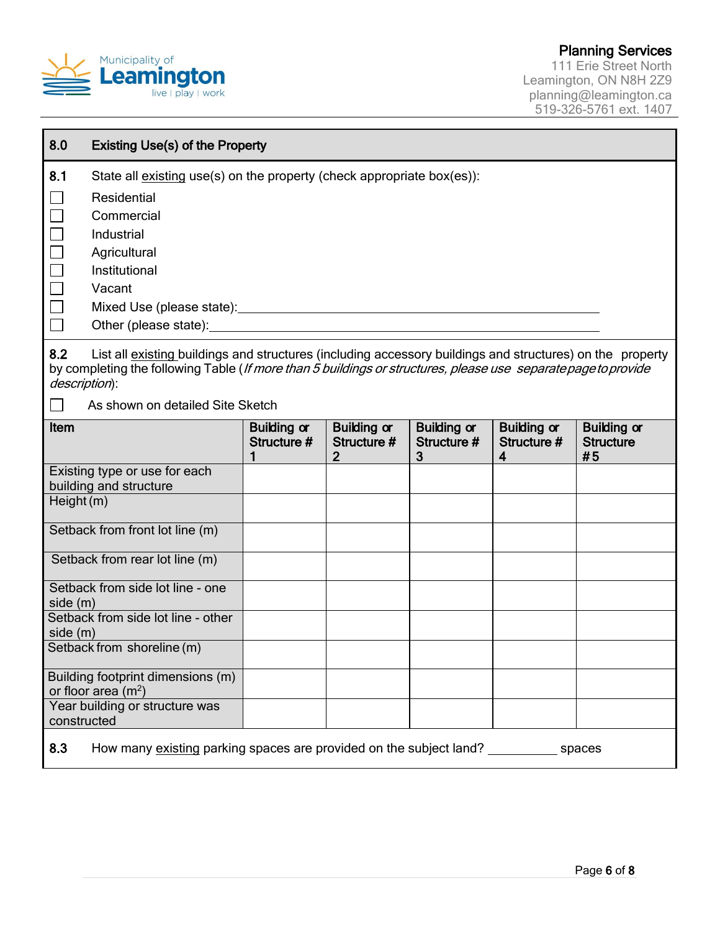

| 8.0                                                               | <b>Existing Use(s) of the Property</b>                                                                                                                                                                                                                                                                                                                                                                                                                                                                                                                                                                                                                                               |                                   |                                              |                                 |                                        |                                              |
|-------------------------------------------------------------------|--------------------------------------------------------------------------------------------------------------------------------------------------------------------------------------------------------------------------------------------------------------------------------------------------------------------------------------------------------------------------------------------------------------------------------------------------------------------------------------------------------------------------------------------------------------------------------------------------------------------------------------------------------------------------------------|-----------------------------------|----------------------------------------------|---------------------------------|----------------------------------------|----------------------------------------------|
| 8.1<br>$\overline{\phantom{a}}$<br>$\Box$<br>8.2<br>description): | State all existing use(s) on the property (check appropriate box(es)):<br>Residential<br>Commercial<br>Industrial<br>Agricultural<br>Institutional<br>Vacant<br>Mixed Use (please state): Mixed Use (please state):<br>Other (please state): example and the state of the state of the state of the state of the state of the state of the state of the state of the state of the state of the state of the state of the state of the state of the st<br>List all existing buildings and structures (including accessory buildings and structures) on the property<br>by completing the following Table (If more than 5 buildings or structures, please use separate page to provide |                                   |                                              |                                 |                                        |                                              |
|                                                                   | As shown on detailed Site Sketch                                                                                                                                                                                                                                                                                                                                                                                                                                                                                                                                                                                                                                                     |                                   |                                              |                                 |                                        |                                              |
| Item                                                              |                                                                                                                                                                                                                                                                                                                                                                                                                                                                                                                                                                                                                                                                                      | <b>Building or</b><br>Structure # | Building or<br>Structure #<br>$\overline{2}$ | Building or<br>Structure #<br>3 | <b>Building or</b><br>Structure #<br>4 | <b>Building or</b><br><b>Structure</b><br>#5 |
| Height $(m)$                                                      | Existing type or use for each<br>building and structure                                                                                                                                                                                                                                                                                                                                                                                                                                                                                                                                                                                                                              |                                   |                                              |                                 |                                        |                                              |
|                                                                   | Setback from front lot line (m)                                                                                                                                                                                                                                                                                                                                                                                                                                                                                                                                                                                                                                                      |                                   |                                              |                                 |                                        |                                              |
|                                                                   | Setback from rear lot line (m)                                                                                                                                                                                                                                                                                                                                                                                                                                                                                                                                                                                                                                                       |                                   |                                              |                                 |                                        |                                              |
| Setback from side lot line - one<br>side (m)                      |                                                                                                                                                                                                                                                                                                                                                                                                                                                                                                                                                                                                                                                                                      |                                   |                                              |                                 |                                        |                                              |
| Setback from side lot line - other<br>side(m)                     |                                                                                                                                                                                                                                                                                                                                                                                                                                                                                                                                                                                                                                                                                      |                                   |                                              |                                 |                                        |                                              |
| Setback from shoreline (m)                                        |                                                                                                                                                                                                                                                                                                                                                                                                                                                                                                                                                                                                                                                                                      |                                   |                                              |                                 |                                        |                                              |
| Building footprint dimensions (m)<br>or floor area $(m^2)$        |                                                                                                                                                                                                                                                                                                                                                                                                                                                                                                                                                                                                                                                                                      |                                   |                                              |                                 |                                        |                                              |
| Year building or structure was<br>constructed                     |                                                                                                                                                                                                                                                                                                                                                                                                                                                                                                                                                                                                                                                                                      |                                   |                                              |                                 |                                        |                                              |
| 8.3                                                               | How many existing parking spaces are provided on the subject land? ____________ spaces                                                                                                                                                                                                                                                                                                                                                                                                                                                                                                                                                                                               |                                   |                                              |                                 |                                        |                                              |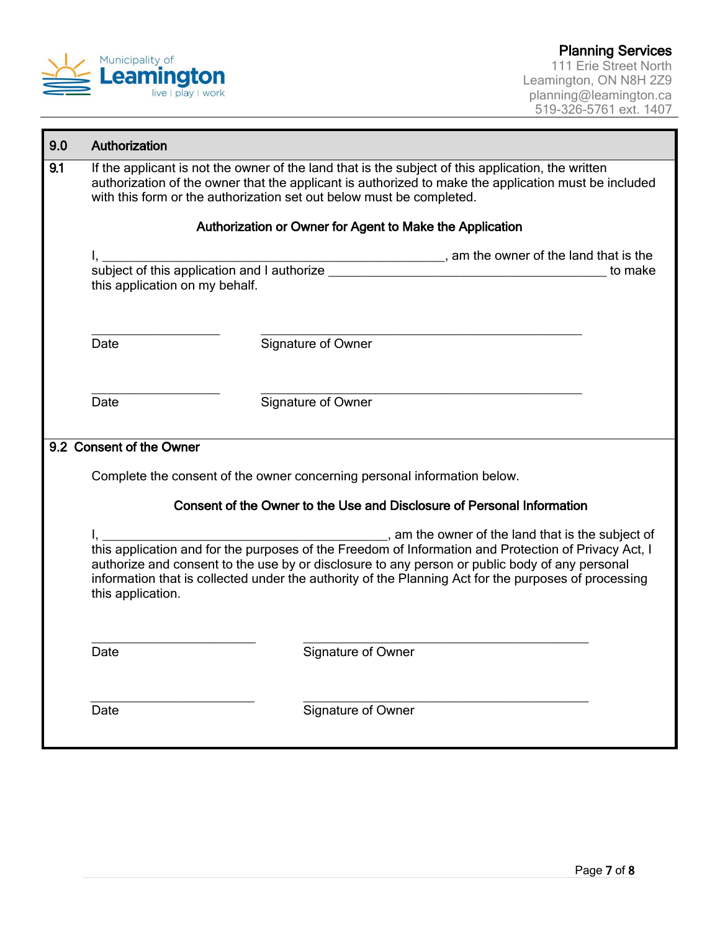

| 9.0 | Authorization                                                                                                                                                                                                                                                                      |                                                                          |  |
|-----|------------------------------------------------------------------------------------------------------------------------------------------------------------------------------------------------------------------------------------------------------------------------------------|--------------------------------------------------------------------------|--|
| 9.1 | If the applicant is not the owner of the land that is the subject of this application, the written<br>authorization of the owner that the applicant is authorized to make the application must be included<br>with this form or the authorization set out below must be completed. |                                                                          |  |
|     | Authorization or Owner for Agent to Make the Application                                                                                                                                                                                                                           |                                                                          |  |
|     | this application on my behalf.                                                                                                                                                                                                                                                     |                                                                          |  |
|     | Date                                                                                                                                                                                                                                                                               | Signature of Owner                                                       |  |
|     | Date                                                                                                                                                                                                                                                                               | Signature of Owner                                                       |  |
|     | 9.2 Consent of the Owner                                                                                                                                                                                                                                                           |                                                                          |  |
|     |                                                                                                                                                                                                                                                                                    | Complete the consent of the owner concerning personal information below. |  |
|     | Consent of the Owner to the Use and Disclosure of Personal Information                                                                                                                                                                                                             |                                                                          |  |
|     | authorize and consent to the use by or disclosure to any person or public body of any personal<br>information that is collected under the authority of the Planning Act for the purposes of processing<br>this application.                                                        |                                                                          |  |
|     | Date                                                                                                                                                                                                                                                                               | Signature of Owner                                                       |  |
|     | Date                                                                                                                                                                                                                                                                               | Signature of Owner                                                       |  |